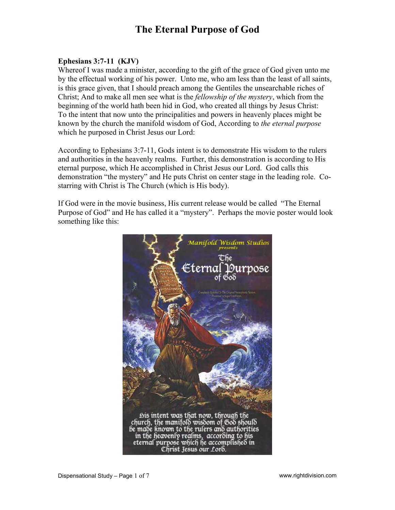### **Ephesians 3:7-11 (KJV)**

Whereof I was made a minister, according to the gift of the grace of God given unto me by the effectual working of his power. Unto me, who am less than the least of all saints, is this grace given, that I should preach among the Gentiles the unsearchable riches of Christ; And to make all men see what is the *fellowship of the mystery*, which from the beginning of the world hath been hid in God, who created all things by Jesus Christ: To the intent that now unto the principalities and powers in heavenly places might be known by the church the manifold wisdom of God, According to *the eternal purpose* which he purposed in Christ Jesus our Lord:

According to Ephesians 3:7-11, Gods intent is to demonstrate His wisdom to the rulers and authorities in the heavenly realms. Further, this demonstration is according to His eternal purpose, which He accomplished in Christ Jesus our Lord. God calls this demonstration "the mystery" and He puts Christ on center stage in the leading role. Costarring with Christ is The Church (which is His body).

If God were in the movie business, His current release would be called "The Eternal Purpose of God" and He has called it a "mystery". Perhaps the movie poster would look something like this:

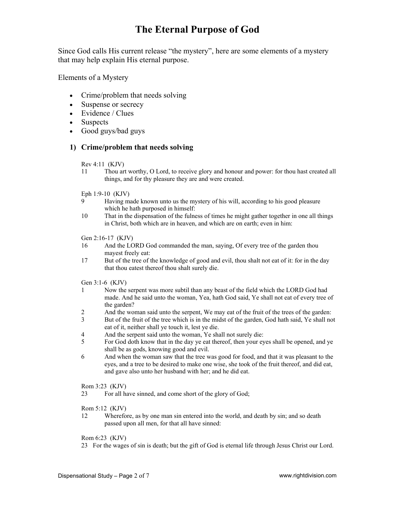Since God calls His current release "the mystery", here are some elements of a mystery that may help explain His eternal purpose.

Elements of a Mystery

- Crime/problem that needs solving
- Suspense or secrecy
- Evidence / Clues
- Suspects
- Good guys/bad guys

### **1) Crime/problem that needs solving**

Rev 4:11 (KJV)

- 11 Thou art worthy, O Lord, to receive glory and honour and power: for thou hast created all things, and for thy pleasure they are and were created.
- Eph 1:9-10 (KJV)
- 9 Having made known unto us the mystery of his will, according to his good pleasure which he hath purposed in himself:
- 10 That in the dispensation of the fulness of times he might gather together in one all things in Christ, both which are in heaven, and which are on earth; even in him:
- Gen 2:16-17 (KJV)
- 16 And the LORD God commanded the man, saying, Of every tree of the garden thou mayest freely eat:
- 17 But of the tree of the knowledge of good and evil, thou shalt not eat of it: for in the day that thou eatest thereof thou shalt surely die.

Gen 3:1-6 (KJV)

- 1 Now the serpent was more subtil than any beast of the field which the LORD God had made. And he said unto the woman, Yea, hath God said, Ye shall not eat of every tree of the garden?
- 2 And the woman said unto the serpent, We may eat of the fruit of the trees of the garden:<br>3 But of the fruit of the tree which is in the midst of the garden. God hath said. Ye shall no
- But of the fruit of the tree which is in the midst of the garden, God hath said, Ye shall not eat of it, neither shall ye touch it, lest ye die.
- 4 And the serpent said unto the woman, Ye shall not surely die:
- 5 For God doth know that in the day ye eat thereof, then your eyes shall be opened, and ye shall be as gods, knowing good and evil.
- 6 And when the woman saw that the tree was good for food, and that it was pleasant to the eyes, and a tree to be desired to make one wise, she took of the fruit thereof, and did eat, and gave also unto her husband with her; and he did eat.

Rom 3:23 (KJV)

23 For all have sinned, and come short of the glory of God;

Rom 5:12 (KJV)

12 Wherefore, as by one man sin entered into the world, and death by sin; and so death passed upon all men, for that all have sinned:

### Rom 6:23 (KJV)

23 For the wages of sin is death; but the gift of God is eternal life through Jesus Christ our Lord.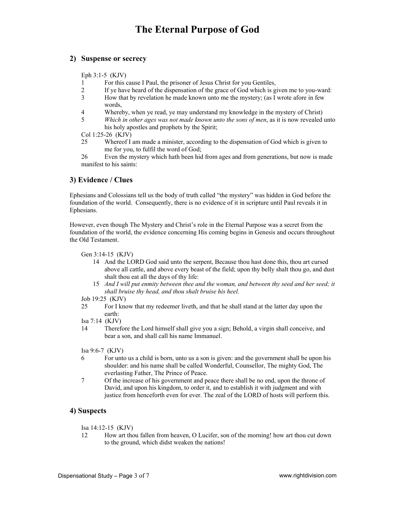### **2) Suspense or secrecy**

Eph 3:1-5 (KJV)

- 1 For this cause I Paul, the prisoner of Jesus Christ for you Gentiles,
- 2 If ye have heard of the dispensation of the grace of God which is given me to you-ward:
- 3 How that by revelation he made known unto me the mystery; (as I wrote afore in few words,
- 4 Whereby, when ye read, ye may understand my knowledge in the mystery of Christ)
- 5 *Which in other ages was not made known unto the sons of men*, as it is now revealed unto his holy apostles and prophets by the Spirit;

Col 1:25-26 (KJV)

25 Whereof I am made a minister, according to the dispensation of God which is given to me for you, to fulfil the word of God;

26 Even the mystery which hath been hid from ages and from generations, but now is made manifest to his saints:

### **3) Evidence / Clues**

Ephesians and Colossians tell us the body of truth called "the mystery" was hidden in God before the foundation of the world. Consequently, there is no evidence of it in scripture until Paul reveals it in Ephesians.

However, even though The Mystery and Christ's role in the Eternal Purpose was a secret from the foundation of the world, the evidence concerning His coming begins in Genesis and occurs throughout the Old Testament.

Gen 3:14-15 (KJV)

- 14 And the LORD God said unto the serpent, Because thou hast done this, thou art cursed above all cattle, and above every beast of the field; upon thy belly shalt thou go, and dust shalt thou eat all the days of thy life:
- 15 *And I will put enmity between thee and the woman, and between thy seed and her seed; it shall bruise thy head, and thou shalt bruise his heel.*

Job 19:25 (KJV)

- 25 For I know that my redeemer liveth, and that he shall stand at the latter day upon the earth:
- Isa 7:14 (KJV)
- 14 Therefore the Lord himself shall give you a sign; Behold, a virgin shall conceive, and bear a son, and shall call his name Immanuel.

Isa 9:6-7 (KJV)

- 6 For unto us a child is born, unto us a son is given: and the government shall be upon his shoulder: and his name shall be called Wonderful, Counsellor, The mighty God, The everlasting Father, The Prince of Peace.
- 7 Of the increase of his government and peace there shall be no end, upon the throne of David, and upon his kingdom, to order it, and to establish it with judgment and with justice from henceforth even for ever. The zeal of the LORD of hosts will perform this.

### **4) Suspects**

Isa 14:12-15 (KJV)

12 How art thou fallen from heaven, O Lucifer, son of the morning! how art thou cut down to the ground, which didst weaken the nations!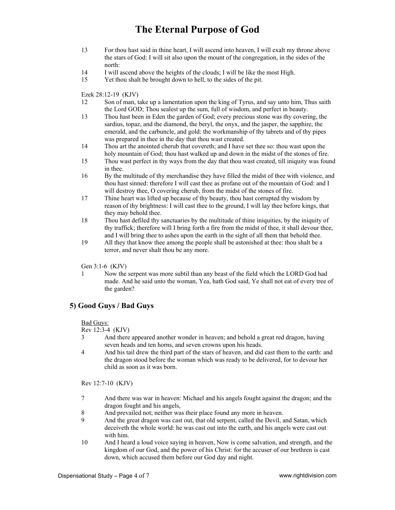- 13 For thou hast said in thine heart, I will ascend into heaven, I will exalt my throne above the stars of God: I will sit also upon the mount of the congregation, in the sides of the north:
- 14 I will ascend above the heights of the clouds; I will be like the most High.
- 15 Yet thou shalt be brought down to hell, to the sides of the pit.

Ezek 28:12-19 (KJV)

- 12 Son of man, take up a lamentation upon the king of Tyrus, and say unto him, Thus saith the Lord GOD; Thou sealest up the sum, full of wisdom, and perfect in beauty.
- 13 Thou hast been in Eden the garden of God; every precious stone was thy covering, the sardius, topaz, and the diamond, the beryl, the onyx, and the jasper, the sapphire, the emerald, and the carbuncle, and gold: the workmanship of thy tabrets and of thy pipes was prepared in thee in the day that thou wast created.
- 14 Thou art the anointed cherub that covereth; and I have set thee so: thou wast upon the holy mountain of God; thou hast walked up and down in the midst of the stones of fire.
- 15 Thou wast perfect in thy ways from the day that thou wast created, till iniquity was found in thee.
- 16 By the multitude of thy merchandise they have filled the midst of thee with violence, and thou hast sinned: therefore I will cast thee as profane out of the mountain of God: and I will destroy thee, O covering cherub, from the midst of the stones of fire.
- 17 Thine heart was lifted up because of thy beauty, thou hast corrupted thy wisdom by reason of thy brightness: I will cast thee to the ground, I will lay thee before kings, that they may behold thee.
- 18 Thou hast defiled thy sanctuaries by the multitude of thine iniquities, by the iniquity of thy traffick; therefore will I bring forth a fire from the midst of thee, it shall devour thee, and I will bring thee to ashes upon the earth in the sight of all them that behold thee.
- 19 All they that know thee among the people shall be astonished at thee: thou shalt be a terror, and never shalt thou be any more.

Gen 3:1-6 (KJV)

1 Now the serpent was more subtil than any beast of the field which the LORD God had made. And he said unto the woman, Yea, hath God said, Ye shall not eat of every tree of the garden?

### **5) Good Guys / Bad Guys**

### Bad Guys:

#### Rev 12:3-4 (KJV)

- 3 And there appeared another wonder in heaven; and behold a great red dragon, having seven heads and ten horns, and seven crowns upon his heads.
- 4 And his tail drew the third part of the stars of heaven, and did cast them to the earth: and the dragon stood before the woman which was ready to be delivered, for to devour her child as soon as it was born.

Rev 12:7-10 (KJV)

- 7 And there was war in heaven: Michael and his angels fought against the dragon; and the dragon fought and his angels,
- 8 And prevailed not; neither was their place found any more in heaven.
- 9 And the great dragon was cast out, that old serpent, called the Devil, and Satan, which deceiveth the whole world: he was cast out into the earth, and his angels were cast out with him.
- 10 And I heard a loud voice saying in heaven, Now is come salvation, and strength, and the kingdom of our God, and the power of his Christ: for the accuser of our brethren is cast down, which accused them before our God day and night.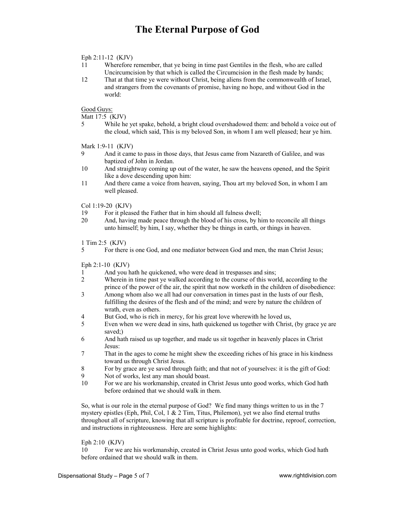#### Eph 2:11-12 (KJV)

- 11 Wherefore remember, that ye being in time past Gentiles in the flesh, who are called Uncircumcision by that which is called the Circumcision in the flesh made by hands;
- 12 That at that time ye were without Christ, being aliens from the commonwealth of Israel, and strangers from the covenants of promise, having no hope, and without God in the world:

Good Guys:

Matt 17:5 (KJV)

5 While he yet spake, behold, a bright cloud overshadowed them: and behold a voice out of the cloud, which said, This is my beloved Son, in whom I am well pleased; hear ye him.

Mark 1:9-11 (KJV)

- 9 And it came to pass in those days, that Jesus came from Nazareth of Galilee, and was baptized of John in Jordan.
- 10 And straightway coming up out of the water, he saw the heavens opened, and the Spirit like a dove descending upon him:
- 11 And there came a voice from heaven, saying, Thou art my beloved Son, in whom I am well pleased.

Col 1:19-20 (KJV)

- 19 For it pleased the Father that in him should all fulness dwell;
- 20 And, having made peace through the blood of his cross, by him to reconcile all things unto himself; by him, I say, whether they be things in earth, or things in heaven.

1 Tim 2:5 (KJV)

5 For there is one God, and one mediator between God and men, the man Christ Jesus;

Eph 2:1-10 (KJV)

- 1 And you hath he quickened, who were dead in trespasses and sins;
- 2 Wherein in time past ye walked according to the course of this world, according to the prince of the power of the air, the spirit that now worketh in the children of disobedience:
- 3 Among whom also we all had our conversation in times past in the lusts of our flesh, fulfilling the desires of the flesh and of the mind; and were by nature the children of wrath, even as others.
- 4 But God, who is rich in mercy, for his great love wherewith he loved us,
- 5 Even when we were dead in sins, hath quickened us together with Christ, (by grace ye are saved;)
- 6 And hath raised us up together, and made us sit together in heavenly places in Christ Jesus:
- 7 That in the ages to come he might shew the exceeding riches of his grace in his kindness toward us through Christ Jesus.
- 8 For by grace are ye saved through faith; and that not of yourselves: it is the gift of God:
- 9 Not of works, lest any man should boast.
- 10 For we are his workmanship, created in Christ Jesus unto good works, which God hath before ordained that we should walk in them.

So, what is our role in the eternal purpose of God? We find many things written to us in the 7 mystery epistles (Eph, Phil, Col, 1  $\&$  2 Tim, Titus, Philemon), yet we also find eternal truths throughout all of scripture, knowing that all scripture is profitable for doctrine, reproof, correction, and instructions in righteousness. Here are some highlights:

#### Eph 2:10 (KJV)

10 For we are his workmanship, created in Christ Jesus unto good works, which God hath before ordained that we should walk in them.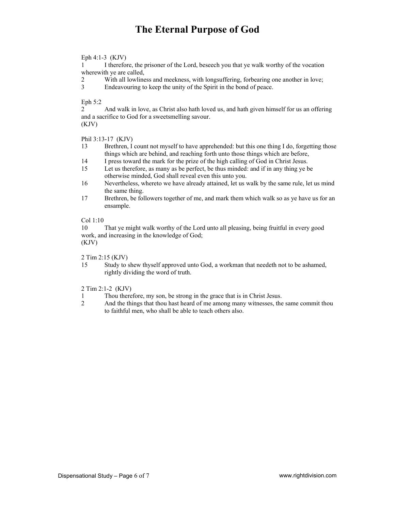Eph 4:1-3 (KJV)

1 I therefore, the prisoner of the Lord, beseech you that ye walk worthy of the vocation wherewith ye are called,

2 With all lowliness and meekness, with longsuffering, forbearing one another in love;

3 Endeavouring to keep the unity of the Spirit in the bond of peace.

Eph 5:2

2 And walk in love, as Christ also hath loved us, and hath given himself for us an offering and a sacrifice to God for a sweetsmelling savour. (KJV)

Phil 3:13-17 (KJV)

- 13 Brethren, I count not myself to have apprehended: but this one thing I do, forgetting those things which are behind, and reaching forth unto those things which are before,
- 14 I press toward the mark for the prize of the high calling of God in Christ Jesus.
- 15 Let us therefore, as many as be perfect, be thus minded: and if in any thing ye be otherwise minded, God shall reveal even this unto you.
- 16 Nevertheless, whereto we have already attained, let us walk by the same rule, let us mind the same thing.
- 17 Brethren, be followers together of me, and mark them which walk so as ye have us for an ensample.

### Col 1:10

10 That ye might walk worthy of the Lord unto all pleasing, being fruitful in every good work, and increasing in the knowledge of God; (KJV)

- 2 Tim 2:15 (KJV)
- 15 Study to shew thyself approved unto God, a workman that needeth not to be ashamed, rightly dividing the word of truth.
- 2 Tim 2:1-2 (KJV)
- 1 Thou therefore, my son, be strong in the grace that is in Christ Jesus.
- 2 And the things that thou hast heard of me among many witnesses, the same commit thou to faithful men, who shall be able to teach others also.